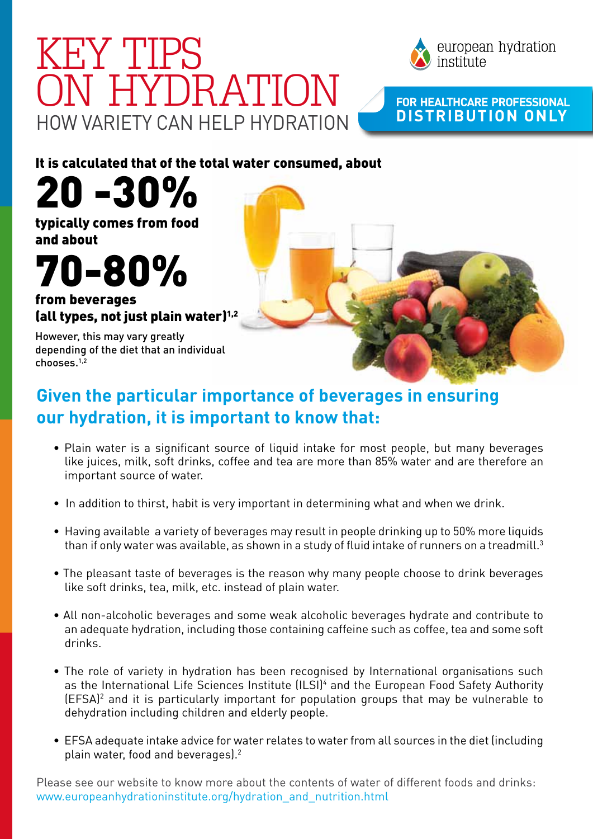## HOW VARIETY CAN HELP HYDRATION KEY TIPS ON HYDRATION **For HeaLthcare Professional**



### **distribution only**

It is calculated that of the total water consumed, about

20 -30%

typically comes from food and about

# 70-80%

from beverages (all types, not just plain water) $1/2$ 

However, this may vary greatly depending of the diet that an individual chooses.1,2

### **Given the particular importance of beverages in ensuring our hydration, it is important to know that:**

- Plain water is a significant source of liquid intake for most people, but many beverages like juices, milk, soft drinks, coffee and tea are more than 85% water and are therefore an important source of water.
- In addition to thirst, habit is very important in determining what and when we drink.
- Having available a variety of beverages may result in people drinking up to 50% more liquids than if only water was available, as shown in a study of fluid intake of runners on a treadmill.<sup>3</sup>
- The pleasant taste of beverages is the reason why many people choose to drink beverages like soft drinks, tea, milk, etc. instead of plain water.
- All non-alcoholic beverages and some weak alcoholic beverages hydrate and contribute to an adequate hydration, including those containing caffeine such as coffee, tea and some soft drinks.
- The role of variety in hydration has been recognised by International organisations such as the International Life Sciences Institute (ILSI)<sup>4</sup> and the European Food Safety Authority (EFSA)2 and it is particularly important for population groups that may be vulnerable to dehydration including children and elderly people.
- EFSA adequate intake advice for water relates to water from all sources in the diet (including plain water, food and beverages).<sup>2</sup>

Please see our website to know more about the contents of water of different foods and drinks: www.europeanhydrationinstitute.org/hydration\_and\_nutrition.html